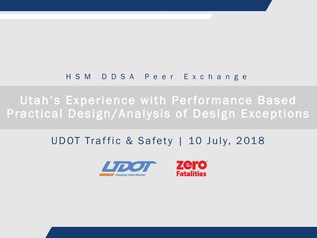#### HSM DDSA Peer Exchange

Utah's Experience with Performance Based Practical Design/Analysis of Design Exceptions

#### UDOT Traffic & Safety | 10 July, 2018



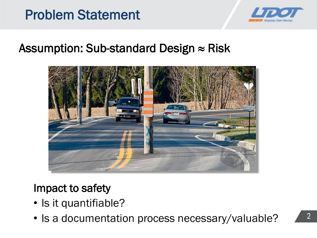



#### Assumption: Sub-standard Design  $\approx$  Risk



#### Impact to safety

- Is it quantifiable?
- Is a documentation process necessary/valuable?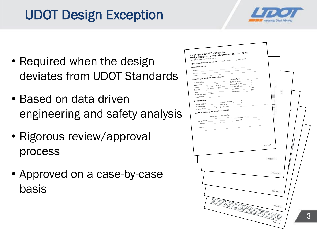## UDOT Design Exception



- Required when the design deviates from UDOT Standards
- Based on data driven engineering and safety analysis
- Rigorous review/approval process
- Approved on a case-by-case basis

| roject Information:<br>PIN:<br>Project No:<br>Location:<br>Concept<br>Roadway Characteristics and Traffic Data:<br>Pavement Type:<br>$\mathcal{N}_0$<br>Current % Trucks:<br>Functional Class:<br>$\eta_0$<br>AADT =<br>Projected % Trucks:<br>$\sim$<br>$-$ %<br>Current Year:<br>10 Years AADT =<br>Projected % Trucks:<br>Projected:<br>mph<br>$\overline{20 \text{ Years}}$ AADT =<br>Posted Speed:<br>$\sim$<br>Projected<br>mph<br>Design Speed:<br>$\overline{a}$<br>Terrain:<br>Terrain:<br>Project Design Life: Years<br>Design Vehicle:<br><b>Geometric Data:</b><br>$\pi$<br>Clear Zone Distance:<br>$\hbar$<br>Number of Lanes:<br>$-\pi$ ROW Width:<br>Pavement Width:<br>Shoulder Type:<br>$^{\rm n}$<br>Shoulder Width:<br>Accident History as documented in the OSR:<br>Expected Rate<br>Actual Rate<br>Accident History Years:<br>Date of OSR:<br>Accident History<br>Severity<br>Remarks:<br>Page 1 of 6<br>FOOT 2<br>$1700 \text{ kg}$<br><b>The Art</b><br>$\overline{I_{\rm CMBM}}$ is a property of the distance of the maximum and the state of the state of the state of the state of the state of the state of the state of the state of the state of the state of the state of the state of t<br>more. | ah Department of Transportation<br>esign Exception / Design Waiver from UDOT Standards<br>w udot utah gov/go/designexceptionprocess<br>ype of Request: (select one or both) Design Exception | Design Waiver |                |  |
|----------------------------------------------------------------------------------------------------------------------------------------------------------------------------------------------------------------------------------------------------------------------------------------------------------------------------------------------------------------------------------------------------------------------------------------------------------------------------------------------------------------------------------------------------------------------------------------------------------------------------------------------------------------------------------------------------------------------------------------------------------------------------------------------------------------------------------------------------------------------------------------------------------------------------------------------------------------------------------------------------------------------------------------------------------------------------------------------------------------------------------------------------------------------------------------------------------------------------------|----------------------------------------------------------------------------------------------------------------------------------------------------------------------------------------------|---------------|----------------|--|
|                                                                                                                                                                                                                                                                                                                                                                                                                                                                                                                                                                                                                                                                                                                                                                                                                                                                                                                                                                                                                                                                                                                                                                                                                                  |                                                                                                                                                                                              |               |                |  |
|                                                                                                                                                                                                                                                                                                                                                                                                                                                                                                                                                                                                                                                                                                                                                                                                                                                                                                                                                                                                                                                                                                                                                                                                                                  |                                                                                                                                                                                              |               |                |  |
|                                                                                                                                                                                                                                                                                                                                                                                                                                                                                                                                                                                                                                                                                                                                                                                                                                                                                                                                                                                                                                                                                                                                                                                                                                  |                                                                                                                                                                                              |               |                |  |
|                                                                                                                                                                                                                                                                                                                                                                                                                                                                                                                                                                                                                                                                                                                                                                                                                                                                                                                                                                                                                                                                                                                                                                                                                                  |                                                                                                                                                                                              |               |                |  |
|                                                                                                                                                                                                                                                                                                                                                                                                                                                                                                                                                                                                                                                                                                                                                                                                                                                                                                                                                                                                                                                                                                                                                                                                                                  |                                                                                                                                                                                              |               |                |  |
|                                                                                                                                                                                                                                                                                                                                                                                                                                                                                                                                                                                                                                                                                                                                                                                                                                                                                                                                                                                                                                                                                                                                                                                                                                  |                                                                                                                                                                                              |               |                |  |
|                                                                                                                                                                                                                                                                                                                                                                                                                                                                                                                                                                                                                                                                                                                                                                                                                                                                                                                                                                                                                                                                                                                                                                                                                                  |                                                                                                                                                                                              |               |                |  |
|                                                                                                                                                                                                                                                                                                                                                                                                                                                                                                                                                                                                                                                                                                                                                                                                                                                                                                                                                                                                                                                                                                                                                                                                                                  |                                                                                                                                                                                              |               |                |  |
|                                                                                                                                                                                                                                                                                                                                                                                                                                                                                                                                                                                                                                                                                                                                                                                                                                                                                                                                                                                                                                                                                                                                                                                                                                  |                                                                                                                                                                                              |               |                |  |
|                                                                                                                                                                                                                                                                                                                                                                                                                                                                                                                                                                                                                                                                                                                                                                                                                                                                                                                                                                                                                                                                                                                                                                                                                                  |                                                                                                                                                                                              |               |                |  |
|                                                                                                                                                                                                                                                                                                                                                                                                                                                                                                                                                                                                                                                                                                                                                                                                                                                                                                                                                                                                                                                                                                                                                                                                                                  |                                                                                                                                                                                              |               |                |  |
|                                                                                                                                                                                                                                                                                                                                                                                                                                                                                                                                                                                                                                                                                                                                                                                                                                                                                                                                                                                                                                                                                                                                                                                                                                  |                                                                                                                                                                                              |               |                |  |
|                                                                                                                                                                                                                                                                                                                                                                                                                                                                                                                                                                                                                                                                                                                                                                                                                                                                                                                                                                                                                                                                                                                                                                                                                                  |                                                                                                                                                                                              |               |                |  |
|                                                                                                                                                                                                                                                                                                                                                                                                                                                                                                                                                                                                                                                                                                                                                                                                                                                                                                                                                                                                                                                                                                                                                                                                                                  |                                                                                                                                                                                              |               |                |  |
|                                                                                                                                                                                                                                                                                                                                                                                                                                                                                                                                                                                                                                                                                                                                                                                                                                                                                                                                                                                                                                                                                                                                                                                                                                  |                                                                                                                                                                                              |               |                |  |
|                                                                                                                                                                                                                                                                                                                                                                                                                                                                                                                                                                                                                                                                                                                                                                                                                                                                                                                                                                                                                                                                                                                                                                                                                                  |                                                                                                                                                                                              |               |                |  |
|                                                                                                                                                                                                                                                                                                                                                                                                                                                                                                                                                                                                                                                                                                                                                                                                                                                                                                                                                                                                                                                                                                                                                                                                                                  |                                                                                                                                                                                              |               |                |  |
|                                                                                                                                                                                                                                                                                                                                                                                                                                                                                                                                                                                                                                                                                                                                                                                                                                                                                                                                                                                                                                                                                                                                                                                                                                  |                                                                                                                                                                                              |               |                |  |
|                                                                                                                                                                                                                                                                                                                                                                                                                                                                                                                                                                                                                                                                                                                                                                                                                                                                                                                                                                                                                                                                                                                                                                                                                                  |                                                                                                                                                                                              |               |                |  |
|                                                                                                                                                                                                                                                                                                                                                                                                                                                                                                                                                                                                                                                                                                                                                                                                                                                                                                                                                                                                                                                                                                                                                                                                                                  |                                                                                                                                                                                              |               |                |  |
|                                                                                                                                                                                                                                                                                                                                                                                                                                                                                                                                                                                                                                                                                                                                                                                                                                                                                                                                                                                                                                                                                                                                                                                                                                  |                                                                                                                                                                                              |               |                |  |
|                                                                                                                                                                                                                                                                                                                                                                                                                                                                                                                                                                                                                                                                                                                                                                                                                                                                                                                                                                                                                                                                                                                                                                                                                                  |                                                                                                                                                                                              |               |                |  |
|                                                                                                                                                                                                                                                                                                                                                                                                                                                                                                                                                                                                                                                                                                                                                                                                                                                                                                                                                                                                                                                                                                                                                                                                                                  |                                                                                                                                                                                              |               | $P$ age 6 of 6 |  |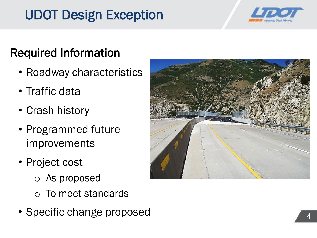## UDOT Design Exception



### Required Information

- Roadway characteristics
- Traffic data
- Crash history
- Programmed future improvements
- Project cost
	- o As proposed
	- To meet standards
- Specific change proposed

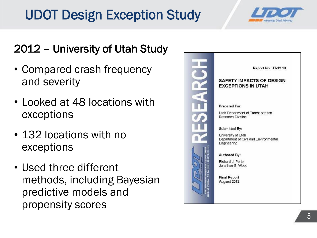## UDOT Design Exception Study



### 2012 – University of Utah Study

- Compared crash frequency and severity
- Looked at 48 locations with exceptions
- 132 locations with no exceptions
- Used three different methods, including Bayesian predictive models and propensity scores

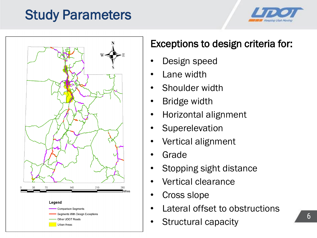### Study Parameters





#### Exceptions to design criteria for:

- Design speed
- Lane width
- Shoulder width
- **Bridge width**
- Horizontal alignment
- **Superelevation**
- Vertical alignment
- **Grade**
- Stopping sight distance
- Vertical clearance
- Cross slope
- Lateral offset to obstructions
- Structural capacity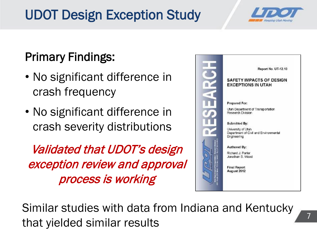## UDOT Design Exception Study



### Primary Findings:

- No significant difference in crash frequency
- No significant difference in crash severity distributions

Validated that UDOT's design exception review and approval process is working



Similar studies with data from Indiana and Kentucky that yielded similar results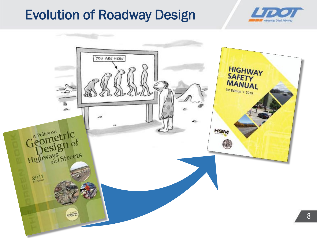### Evolution of Roadway Design